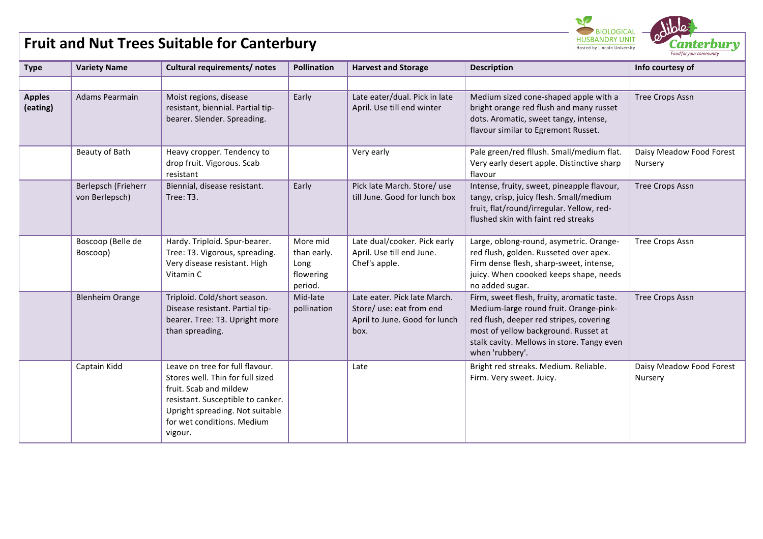## **Fruit and Nut Trees Suitable for Canterbury**

| <b>Type</b>               | <b>Variety Name</b>                   | Cultural requirements/ notes                                                                                                                                                                                   | <b>Pollination</b>                                      | <b>Harvest and Storage</b>                                                                        | <b>Description</b>                                                                                                                                                                                                                       | Info courtesy of                    |
|---------------------------|---------------------------------------|----------------------------------------------------------------------------------------------------------------------------------------------------------------------------------------------------------------|---------------------------------------------------------|---------------------------------------------------------------------------------------------------|------------------------------------------------------------------------------------------------------------------------------------------------------------------------------------------------------------------------------------------|-------------------------------------|
|                           |                                       |                                                                                                                                                                                                                |                                                         |                                                                                                   |                                                                                                                                                                                                                                          |                                     |
| <b>Apples</b><br>(eating) | Adams Pearmain                        | Moist regions, disease<br>resistant, biennial. Partial tip-<br>bearer. Slender. Spreading.                                                                                                                     | Early                                                   | Late eater/dual. Pick in late<br>April. Use till end winter                                       | Medium sized cone-shaped apple with a<br>bright orange red flush and many russet<br>dots. Aromatic, sweet tangy, intense,<br>flavour similar to Egremont Russet.                                                                         | <b>Tree Crops Assn</b>              |
|                           | Beauty of Bath                        | Heavy cropper. Tendency to<br>drop fruit. Vigorous. Scab<br>resistant                                                                                                                                          |                                                         | Very early                                                                                        | Pale green/red fllush. Small/medium flat.<br>Very early desert apple. Distinctive sharp<br>flavour                                                                                                                                       | Daisy Meadow Food Forest<br>Nursery |
|                           | Berlepsch (Frieherr<br>von Berlepsch) | Biennial, disease resistant.<br>Tree: T3.                                                                                                                                                                      | Early                                                   | Pick late March. Store/use<br>till June. Good for lunch box                                       | Intense, fruity, sweet, pineapple flavour,<br>tangy, crisp, juicy flesh. Small/medium<br>fruit, flat/round/irregular. Yellow, red-<br>flushed skin with faint red streaks                                                                | <b>Tree Crops Assn</b>              |
|                           | Boscoop (Belle de<br>Boscoop)         | Hardy. Triploid. Spur-bearer.<br>Tree: T3. Vigorous, spreading.<br>Very disease resistant. High<br>Vitamin C                                                                                                   | More mid<br>than early.<br>Long<br>flowering<br>period. | Late dual/cooker. Pick early<br>April. Use till end June.<br>Chef's apple.                        | Large, oblong-round, asymetric. Orange-<br>red flush, golden. Russeted over apex.<br>Firm dense flesh, sharp-sweet, intense,<br>juicy. When coooked keeps shape, needs<br>no added sugar.                                                | <b>Tree Crops Assn</b>              |
|                           | <b>Blenheim Orange</b>                | Triploid. Cold/short season.<br>Disease resistant. Partial tip-<br>bearer. Tree: T3. Upright more<br>than spreading.                                                                                           | Mid-late<br>pollination                                 | Late eater. Pick late March.<br>Store/ use: eat from end<br>April to June. Good for lunch<br>box. | Firm, sweet flesh, fruity, aromatic taste.<br>Medium-large round fruit. Orange-pink-<br>red flush, deeper red stripes, covering<br>most of yellow background. Russet at<br>stalk cavity. Mellows in store. Tangy even<br>when 'rubbery'. | <b>Tree Crops Assn</b>              |
|                           | Captain Kidd                          | Leave on tree for full flavour.<br>Stores well. Thin for full sized<br>fruit. Scab and mildew<br>resistant. Susceptible to canker.<br>Upright spreading. Not suitable<br>for wet conditions. Medium<br>vigour. |                                                         | Late                                                                                              | Bright red streaks. Medium. Reliable.<br>Firm. Very sweet. Juicy.                                                                                                                                                                        | Daisy Meadow Food Forest<br>Nursery |

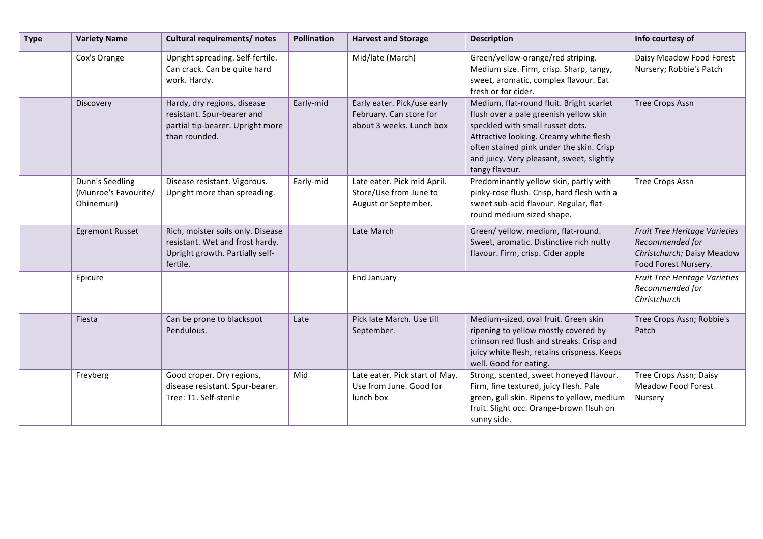| <b>Type</b> | <b>Variety Name</b>                                   | Cultural requirements/ notes                                                                                        | <b>Pollination</b> | <b>Harvest and Storage</b>                                                         | <b>Description</b>                                                                                                                                                                                                                                                          | Info courtesy of                                                                                       |
|-------------|-------------------------------------------------------|---------------------------------------------------------------------------------------------------------------------|--------------------|------------------------------------------------------------------------------------|-----------------------------------------------------------------------------------------------------------------------------------------------------------------------------------------------------------------------------------------------------------------------------|--------------------------------------------------------------------------------------------------------|
|             | Cox's Orange                                          | Upright spreading. Self-fertile.<br>Can crack. Can be quite hard<br>work. Hardy.                                    |                    | Mid/late (March)                                                                   | Green/yellow-orange/red striping.<br>Medium size. Firm, crisp. Sharp, tangy,<br>sweet, aromatic, complex flavour. Eat<br>fresh or for cider.                                                                                                                                | Daisy Meadow Food Forest<br>Nursery; Robbie's Patch                                                    |
|             | Discovery                                             | Hardy, dry regions, disease<br>resistant. Spur-bearer and<br>partial tip-bearer. Upright more<br>than rounded.      | Early-mid          | Early eater. Pick/use early<br>February. Can store for<br>about 3 weeks. Lunch box | Medium, flat-round fluit. Bright scarlet<br>flush over a pale greenish yellow skin<br>speckled with small russet dots.<br>Attractive looking. Creamy white flesh<br>often stained pink under the skin. Crisp<br>and juicy. Very pleasant, sweet, slightly<br>tangy flavour. | <b>Tree Crops Assn</b>                                                                                 |
|             | Dunn's Seedling<br>(Munroe's Favourite/<br>Ohinemuri) | Disease resistant. Vigorous.<br>Upright more than spreading.                                                        | Early-mid          | Late eater. Pick mid April.<br>Store/Use from June to<br>August or September.      | Predominantly yellow skin, partly with<br>pinky-rose flush. Crisp, hard flesh with a<br>sweet sub-acid flavour. Regular, flat-<br>round medium sized shape.                                                                                                                 | <b>Tree Crops Assn</b>                                                                                 |
|             | <b>Egremont Russet</b>                                | Rich, moister soils only. Disease<br>resistant. Wet and frost hardy.<br>Upright growth. Partially self-<br>fertile. |                    | Late March                                                                         | Green/yellow, medium, flat-round.<br>Sweet, aromatic. Distinctive rich nutty<br>flavour. Firm, crisp. Cider apple                                                                                                                                                           | Fruit Tree Heritage Varieties<br>Recommended for<br>Christchurch; Daisy Meadow<br>Food Forest Nursery. |
|             | Epicure                                               |                                                                                                                     |                    | <b>End January</b>                                                                 |                                                                                                                                                                                                                                                                             | Fruit Tree Heritage Varieties<br>Recommended for<br>Christchurch                                       |
|             | Fiesta                                                | Can be prone to blackspot<br>Pendulous.                                                                             | Late               | Pick late March. Use till<br>September.                                            | Medium-sized, oval fruit. Green skin<br>ripening to yellow mostly covered by<br>crimson red flush and streaks. Crisp and<br>juicy white flesh, retains crispness. Keeps<br>well. Good for eating.                                                                           | Tree Crops Assn; Robbie's<br>Patch                                                                     |
|             | Freyberg                                              | Good croper. Dry regions,<br>disease resistant. Spur-bearer.<br>Tree: T1. Self-sterile                              | Mid                | Late eater. Pick start of May.<br>Use from June. Good for<br>lunch box             | Strong, scented, sweet honeyed flavour.<br>Firm, fine textured, juicy flesh. Pale<br>green, gull skin. Ripens to yellow, medium<br>fruit. Slight occ. Orange-brown flsuh on<br>sunny side.                                                                                  | Tree Crops Assn; Daisy<br><b>Meadow Food Forest</b><br>Nursery                                         |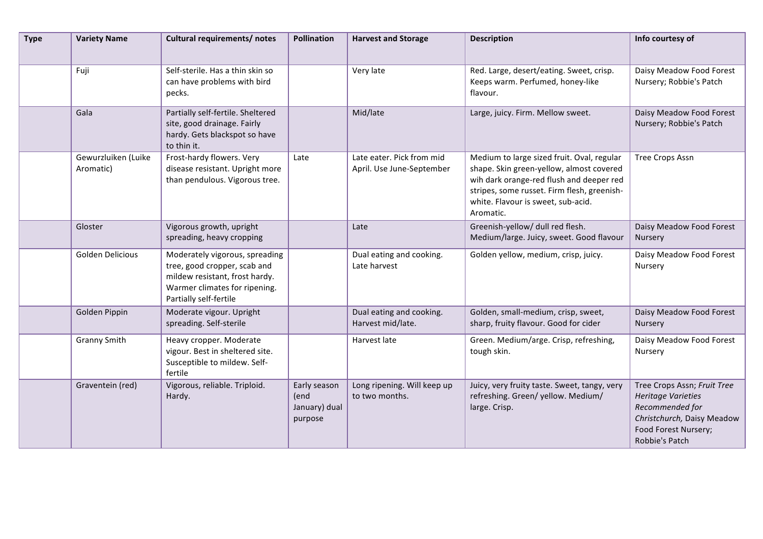| <b>Type</b> | <b>Variety Name</b>              | Cultural requirements/ notes                                                                                                                                | <b>Pollination</b>                               | <b>Harvest and Storage</b>                             | <b>Description</b>                                                                                                                                                                                                                   | Info courtesy of                                                                                                                                    |
|-------------|----------------------------------|-------------------------------------------------------------------------------------------------------------------------------------------------------------|--------------------------------------------------|--------------------------------------------------------|--------------------------------------------------------------------------------------------------------------------------------------------------------------------------------------------------------------------------------------|-----------------------------------------------------------------------------------------------------------------------------------------------------|
|             | Fuji                             | Self-sterile. Has a thin skin so<br>can have problems with bird<br>pecks.                                                                                   |                                                  | Very late                                              | Red. Large, desert/eating. Sweet, crisp.<br>Keeps warm. Perfumed, honey-like<br>flavour.                                                                                                                                             | Daisy Meadow Food Forest<br>Nursery; Robbie's Patch                                                                                                 |
|             | Gala                             | Partially self-fertile. Sheltered<br>site, good drainage. Fairly<br>hardy. Gets blackspot so have<br>to thin it.                                            |                                                  | Mid/late                                               | Large, juicy. Firm. Mellow sweet.                                                                                                                                                                                                    | Daisy Meadow Food Forest<br>Nursery; Robbie's Patch                                                                                                 |
|             | Gewurzluiken (Luike<br>Aromatic) | Frost-hardy flowers. Very<br>disease resistant. Upright more<br>than pendulous. Vigorous tree.                                                              | Late                                             | Late eater. Pick from mid<br>April. Use June-September | Medium to large sized fruit. Oval, regular<br>shape. Skin green-yellow, almost covered<br>wih dark orange-red flush and deeper red<br>stripes, some russet. Firm flesh, greenish-<br>white. Flavour is sweet, sub-acid.<br>Aromatic. | <b>Tree Crops Assn</b>                                                                                                                              |
|             | Gloster                          | Vigorous growth, upright<br>spreading, heavy cropping                                                                                                       |                                                  | Late                                                   | Greenish-yellow/ dull red flesh.<br>Medium/large. Juicy, sweet. Good flavour                                                                                                                                                         | Daisy Meadow Food Forest<br>Nursery                                                                                                                 |
|             | Golden Delicious                 | Moderately vigorous, spreading<br>tree, good cropper, scab and<br>mildew resistant, frost hardy.<br>Warmer climates for ripening.<br>Partially self-fertile |                                                  | Dual eating and cooking.<br>Late harvest               | Golden yellow, medium, crisp, juicy.                                                                                                                                                                                                 | Daisy Meadow Food Forest<br>Nursery                                                                                                                 |
|             | Golden Pippin                    | Moderate vigour. Upright<br>spreading. Self-sterile                                                                                                         |                                                  | Dual eating and cooking.<br>Harvest mid/late.          | Golden, small-medium, crisp, sweet,<br>sharp, fruity flavour. Good for cider                                                                                                                                                         | Daisy Meadow Food Forest<br>Nursery                                                                                                                 |
|             | <b>Granny Smith</b>              | Heavy cropper. Moderate<br>vigour. Best in sheltered site.<br>Susceptible to mildew. Self-<br>fertile                                                       |                                                  | Harvest late                                           | Green. Medium/arge. Crisp, refreshing,<br>tough skin.                                                                                                                                                                                | Daisy Meadow Food Forest<br>Nursery                                                                                                                 |
|             | Graventein (red)                 | Vigorous, reliable. Triploid.<br>Hardy.                                                                                                                     | Early season<br>(end<br>January) dual<br>purpose | Long ripening. Will keep up<br>to two months.          | Juicy, very fruity taste. Sweet, tangy, very<br>refreshing. Green/yellow. Medium/<br>large. Crisp.                                                                                                                                   | Tree Crops Assn; Fruit Tree<br><b>Heritage Varieties</b><br>Recommended for<br>Christchurch, Daisy Meadow<br>Food Forest Nursery;<br>Robbie's Patch |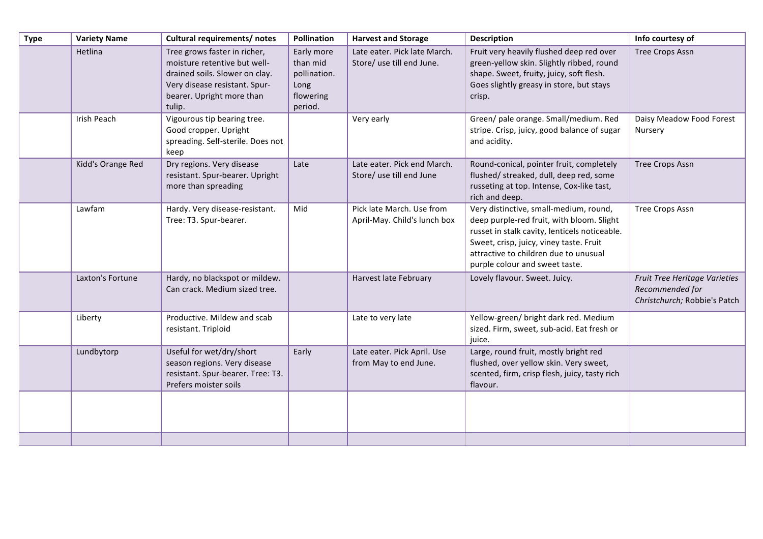| <b>Type</b> | <b>Variety Name</b> | <b>Cultural requirements/ notes</b>                                                                                                                                    | Pollination                                                            | <b>Harvest and Storage</b>                                | <b>Description</b>                                                                                                                                                                                                                                         | Info courtesy of                                                                 |
|-------------|---------------------|------------------------------------------------------------------------------------------------------------------------------------------------------------------------|------------------------------------------------------------------------|-----------------------------------------------------------|------------------------------------------------------------------------------------------------------------------------------------------------------------------------------------------------------------------------------------------------------------|----------------------------------------------------------------------------------|
|             | Hetlina             | Tree grows faster in richer,<br>moisture retentive but well-<br>drained soils. Slower on clay.<br>Very disease resistant. Spur-<br>bearer. Upright more than<br>tulip. | Early more<br>than mid<br>pollination.<br>Long<br>flowering<br>period. | Late eater. Pick late March.<br>Store/ use till end June. | Fruit very heavily flushed deep red over<br>green-yellow skin. Slightly ribbed, round<br>shape. Sweet, fruity, juicy, soft flesh.<br>Goes slightly greasy in store, but stays<br>crisp.                                                                    | <b>Tree Crops Assn</b>                                                           |
|             | Irish Peach         | Vigourous tip bearing tree.<br>Good cropper. Upright<br>spreading. Self-sterile. Does not<br>keep                                                                      |                                                                        | Very early                                                | Green/ pale orange. Small/medium. Red<br>stripe. Crisp, juicy, good balance of sugar<br>and acidity.                                                                                                                                                       | Daisy Meadow Food Forest<br>Nursery                                              |
|             | Kidd's Orange Red   | Dry regions. Very disease<br>resistant. Spur-bearer. Upright<br>more than spreading                                                                                    | Late                                                                   | Late eater. Pick end March.<br>Store/ use till end June   | Round-conical, pointer fruit, completely<br>flushed/ streaked, dull, deep red, some<br>russeting at top. Intense, Cox-like tast,<br>rich and deep.                                                                                                         | <b>Tree Crops Assn</b>                                                           |
|             | Lawfam              | Hardy. Very disease-resistant.<br>Tree: T3. Spur-bearer.                                                                                                               | Mid                                                                    | Pick late March. Use from<br>April-May. Child's lunch box | Very distinctive, small-medium, round,<br>deep purple-red fruit, with bloom. Slight<br>russet in stalk cavity, lenticels noticeable.<br>Sweet, crisp, juicy, viney taste. Fruit<br>attractive to children due to unusual<br>purple colour and sweet taste. | <b>Tree Crops Assn</b>                                                           |
|             | Laxton's Fortune    | Hardy, no blackspot or mildew.<br>Can crack. Medium sized tree.                                                                                                        |                                                                        | Harvest late February                                     | Lovely flavour. Sweet. Juicy.                                                                                                                                                                                                                              | Fruit Tree Heritage Varieties<br>Recommended for<br>Christchurch; Robbie's Patch |
|             | Liberty             | Productive. Mildew and scab<br>resistant. Triploid                                                                                                                     |                                                                        | Late to very late                                         | Yellow-green/ bright dark red. Medium<br>sized. Firm, sweet, sub-acid. Eat fresh or<br>juice.                                                                                                                                                              |                                                                                  |
|             | Lundbytorp          | Useful for wet/dry/short<br>season regions. Very disease<br>resistant. Spur-bearer. Tree: T3.<br>Prefers moister soils                                                 | Early                                                                  | Late eater. Pick April. Use<br>from May to end June.      | Large, round fruit, mostly bright red<br>flushed, over yellow skin. Very sweet,<br>scented, firm, crisp flesh, juicy, tasty rich<br>flavour.                                                                                                               |                                                                                  |
|             |                     |                                                                                                                                                                        |                                                                        |                                                           |                                                                                                                                                                                                                                                            |                                                                                  |
|             |                     |                                                                                                                                                                        |                                                                        |                                                           |                                                                                                                                                                                                                                                            |                                                                                  |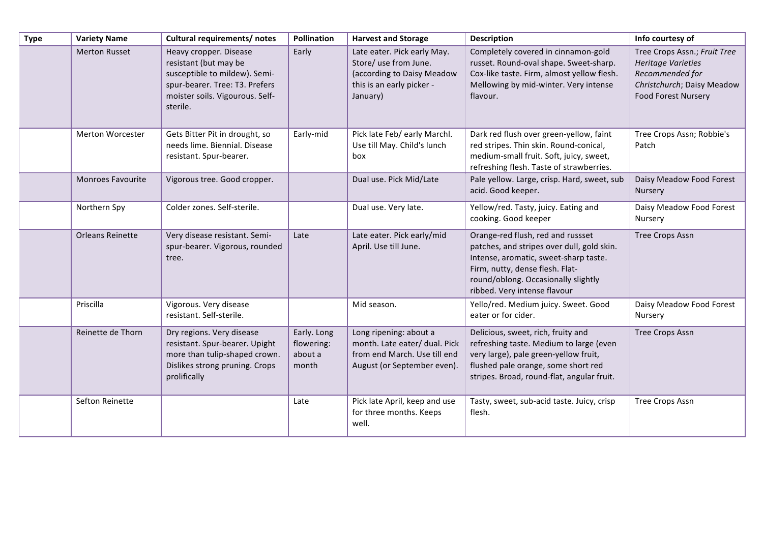| <b>Type</b> | <b>Variety Name</b>     | <b>Cultural requirements/ notes</b>                                                                                                                               | Pollination                                   | <b>Harvest and Storage</b>                                                                                                  | <b>Description</b>                                                                                                                                                                                                                 | Info courtesy of                                                                                                                         |
|-------------|-------------------------|-------------------------------------------------------------------------------------------------------------------------------------------------------------------|-----------------------------------------------|-----------------------------------------------------------------------------------------------------------------------------|------------------------------------------------------------------------------------------------------------------------------------------------------------------------------------------------------------------------------------|------------------------------------------------------------------------------------------------------------------------------------------|
|             | <b>Merton Russet</b>    | Heavy cropper. Disease<br>resistant (but may be<br>susceptible to mildew). Semi-<br>spur-bearer. Tree: T3. Prefers<br>moister soils. Vigourous. Self-<br>sterile. | Early                                         | Late eater. Pick early May.<br>Store/ use from June.<br>(according to Daisy Meadow<br>this is an early picker -<br>January) | Completely covered in cinnamon-gold<br>russet. Round-oval shape. Sweet-sharp.<br>Cox-like taste. Firm, almost yellow flesh.<br>Mellowing by mid-winter. Very intense<br>flavour.                                                   | Tree Crops Assn.; Fruit Tree<br><b>Heritage Varieties</b><br>Recommended for<br>Christchurch; Daisy Meadow<br><b>Food Forest Nursery</b> |
|             | Merton Worcester        | Gets Bitter Pit in drought, so<br>needs lime. Biennial. Disease<br>resistant. Spur-bearer.                                                                        | Early-mid                                     | Pick late Feb/ early Marchl.<br>Use till May. Child's lunch<br>box                                                          | Dark red flush over green-yellow, faint<br>red stripes. Thin skin. Round-conical,<br>medium-small fruit. Soft, juicy, sweet,<br>refreshing flesh. Taste of strawberries.                                                           | Tree Crops Assn; Robbie's<br>Patch                                                                                                       |
|             | Monroes Favourite       | Vigorous tree. Good cropper.                                                                                                                                      |                                               | Dual use. Pick Mid/Late                                                                                                     | Pale yellow. Large, crisp. Hard, sweet, sub<br>acid. Good keeper.                                                                                                                                                                  | Daisy Meadow Food Forest<br>Nursery                                                                                                      |
|             | Northern Spy            | Colder zones. Self-sterile.                                                                                                                                       |                                               | Dual use. Very late.                                                                                                        | Yellow/red. Tasty, juicy. Eating and<br>cooking. Good keeper                                                                                                                                                                       | Daisy Meadow Food Forest<br>Nursery                                                                                                      |
|             | <b>Orleans Reinette</b> | Very disease resistant. Semi-<br>spur-bearer. Vigorous, rounded<br>tree.                                                                                          | Late                                          | Late eater. Pick early/mid<br>April. Use till June.                                                                         | Orange-red flush, red and russset<br>patches, and stripes over dull, gold skin.<br>Intense, aromatic, sweet-sharp taste.<br>Firm, nutty, dense flesh. Flat-<br>round/oblong. Occasionally slightly<br>ribbed. Very intense flavour | <b>Tree Crops Assn</b>                                                                                                                   |
|             | Priscilla               | Vigorous. Very disease<br>resistant. Self-sterile.                                                                                                                |                                               | Mid season.                                                                                                                 | Yello/red. Medium juicy. Sweet. Good<br>eater or for cider.                                                                                                                                                                        | Daisy Meadow Food Forest<br>Nursery                                                                                                      |
|             | Reinette de Thorn       | Dry regions. Very disease<br>resistant. Spur-bearer. Upight<br>more than tulip-shaped crown.<br>Dislikes strong pruning. Crops<br>prolifically                    | Early. Long<br>flowering:<br>about a<br>month | Long ripening: about a<br>month. Late eater/ dual. Pick<br>from end March. Use till end<br>August (or September even).      | Delicious, sweet, rich, fruity and<br>refreshing taste. Medium to large (even<br>very large), pale green-yellow fruit,<br>flushed pale orange, some short red<br>stripes. Broad, round-flat, angular fruit.                        | Tree Crops Assn                                                                                                                          |
|             | Sefton Reinette         |                                                                                                                                                                   | Late                                          | Pick late April, keep and use<br>for three months. Keeps<br>well.                                                           | Tasty, sweet, sub-acid taste. Juicy, crisp<br>flesh.                                                                                                                                                                               | Tree Crops Assn                                                                                                                          |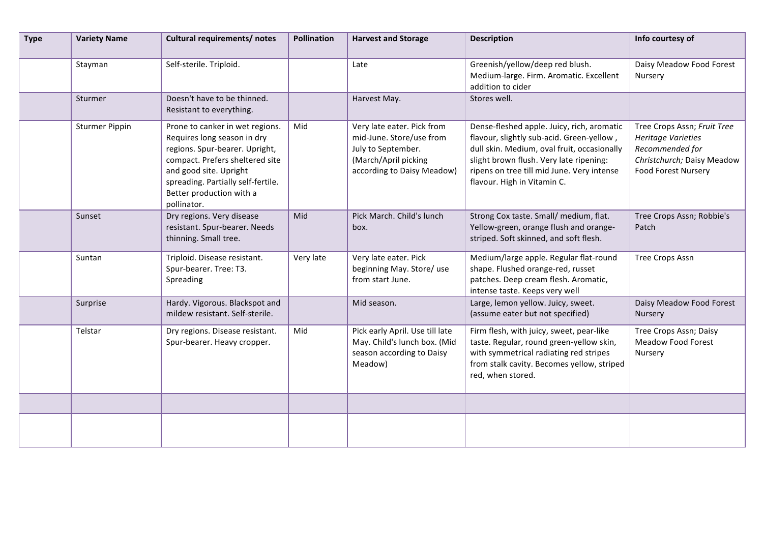| <b>Type</b> | <b>Variety Name</b>   | Cultural requirements/ notes                                                                                                                                                                                                                   | <b>Pollination</b> | <b>Harvest and Storage</b>                                                                                                         | <b>Description</b>                                                                                                                                                                                                                                             | Info courtesy of                                                                                                                        |
|-------------|-----------------------|------------------------------------------------------------------------------------------------------------------------------------------------------------------------------------------------------------------------------------------------|--------------------|------------------------------------------------------------------------------------------------------------------------------------|----------------------------------------------------------------------------------------------------------------------------------------------------------------------------------------------------------------------------------------------------------------|-----------------------------------------------------------------------------------------------------------------------------------------|
|             | Stayman               | Self-sterile. Triploid.                                                                                                                                                                                                                        |                    | Late                                                                                                                               | Greenish/yellow/deep red blush.<br>Medium-large. Firm. Aromatic. Excellent<br>addition to cider                                                                                                                                                                | Daisy Meadow Food Forest<br>Nursery                                                                                                     |
|             | Sturmer               | Doesn't have to be thinned.<br>Resistant to everything.                                                                                                                                                                                        |                    | Harvest May.                                                                                                                       | Stores well.                                                                                                                                                                                                                                                   |                                                                                                                                         |
|             | <b>Sturmer Pippin</b> | Prone to canker in wet regions.<br>Requires long season in dry<br>regions. Spur-bearer. Upright,<br>compact. Prefers sheltered site<br>and good site. Upright<br>spreading. Partially self-fertile.<br>Better production with a<br>pollinator. | Mid                | Very late eater. Pick from<br>mid-June. Store/use from<br>July to September.<br>(March/April picking<br>according to Daisy Meadow) | Dense-fleshed apple. Juicy, rich, aromatic<br>flavour, slightly sub-acid. Green-yellow,<br>dull skin. Medium, oval fruit, occasionally<br>slight brown flush. Very late ripening:<br>ripens on tree till mid June. Very intense<br>flavour. High in Vitamin C. | Tree Crops Assn; Fruit Tree<br><b>Heritage Varieties</b><br>Recommended for<br>Christchurch; Daisy Meadow<br><b>Food Forest Nursery</b> |
|             | Sunset                | Dry regions. Very disease<br>resistant. Spur-bearer. Needs<br>thinning. Small tree.                                                                                                                                                            | Mid                | Pick March. Child's lunch<br>box.                                                                                                  | Strong Cox taste. Small/ medium, flat.<br>Yellow-green, orange flush and orange-<br>striped. Soft skinned, and soft flesh.                                                                                                                                     | Tree Crops Assn; Robbie's<br>Patch                                                                                                      |
|             | Suntan                | Triploid. Disease resistant.<br>Spur-bearer. Tree: T3.<br>Spreading                                                                                                                                                                            | Very late          | Very late eater. Pick<br>beginning May. Store/use<br>from start June.                                                              | Medium/large apple. Regular flat-round<br>shape. Flushed orange-red, russet<br>patches. Deep cream flesh. Aromatic,<br>intense taste. Keeps very well                                                                                                          | <b>Tree Crops Assn</b>                                                                                                                  |
|             | Surprise              | Hardy. Vigorous. Blackspot and<br>mildew resistant. Self-sterile.                                                                                                                                                                              |                    | Mid season.                                                                                                                        | Large, lemon yellow. Juicy, sweet.<br>(assume eater but not specified)                                                                                                                                                                                         | Daisy Meadow Food Forest<br>Nursery                                                                                                     |
|             | Telstar               | Dry regions. Disease resistant.<br>Spur-bearer. Heavy cropper.                                                                                                                                                                                 | Mid                | Pick early April. Use till late<br>May. Child's lunch box. (Mid<br>season according to Daisy<br>Meadow)                            | Firm flesh, with juicy, sweet, pear-like<br>taste. Regular, round green-yellow skin,<br>with symmetrical radiating red stripes<br>from stalk cavity. Becomes yellow, striped<br>red, when stored.                                                              | Tree Crops Assn; Daisy<br><b>Meadow Food Forest</b><br>Nursery                                                                          |
|             |                       |                                                                                                                                                                                                                                                |                    |                                                                                                                                    |                                                                                                                                                                                                                                                                |                                                                                                                                         |
|             |                       |                                                                                                                                                                                                                                                |                    |                                                                                                                                    |                                                                                                                                                                                                                                                                |                                                                                                                                         |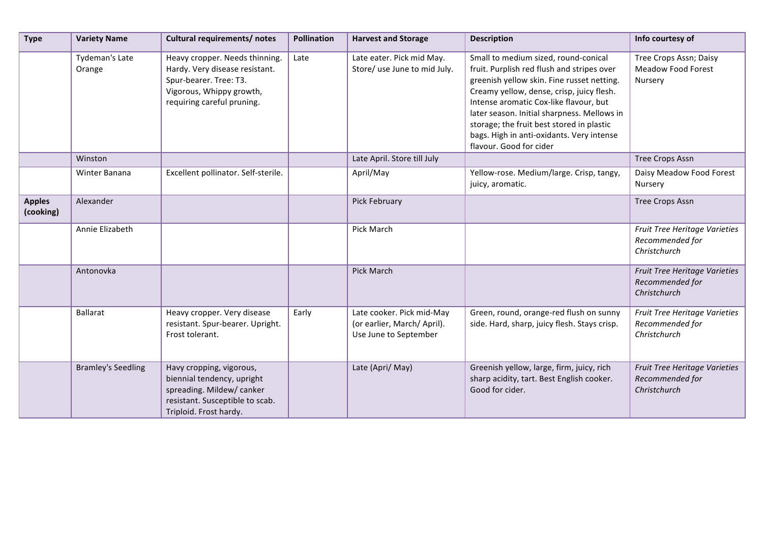| <b>Type</b>                | <b>Variety Name</b>       | Cultural requirements/ notes                                                                                                                         | <b>Pollination</b> | <b>Harvest and Storage</b>                                                       | <b>Description</b>                                                                                                                                                                                                                                                                                                                                                                          | Info courtesy of                                                 |
|----------------------------|---------------------------|------------------------------------------------------------------------------------------------------------------------------------------------------|--------------------|----------------------------------------------------------------------------------|---------------------------------------------------------------------------------------------------------------------------------------------------------------------------------------------------------------------------------------------------------------------------------------------------------------------------------------------------------------------------------------------|------------------------------------------------------------------|
|                            | Tydeman's Late<br>Orange  | Heavy cropper. Needs thinning.<br>Hardy. Very disease resistant.<br>Spur-bearer. Tree: T3.<br>Vigorous, Whippy growth,<br>requiring careful pruning. | Late               | Late eater. Pick mid May.<br>Store/ use June to mid July.                        | Small to medium sized, round-conical<br>fruit. Purplish red flush and stripes over<br>greenish yellow skin. Fine russet netting.<br>Creamy yellow, dense, crisp, juicy flesh.<br>Intense aromatic Cox-like flavour, but<br>later season. Initial sharpness. Mellows in<br>storage; the fruit best stored in plastic<br>bags. High in anti-oxidants. Very intense<br>flavour. Good for cider | Tree Crops Assn; Daisy<br><b>Meadow Food Forest</b><br>Nursery   |
|                            | Winston                   |                                                                                                                                                      |                    | Late April. Store till July                                                      |                                                                                                                                                                                                                                                                                                                                                                                             | <b>Tree Crops Assn</b>                                           |
|                            | Winter Banana             | Excellent pollinator. Self-sterile.                                                                                                                  |                    | April/May                                                                        | Yellow-rose. Medium/large. Crisp, tangy,<br>juicy, aromatic.                                                                                                                                                                                                                                                                                                                                | Daisy Meadow Food Forest<br>Nursery                              |
| <b>Apples</b><br>(cooking) | Alexander                 |                                                                                                                                                      |                    | Pick February                                                                    |                                                                                                                                                                                                                                                                                                                                                                                             | <b>Tree Crops Assn</b>                                           |
|                            | Annie Elizabeth           |                                                                                                                                                      |                    | Pick March                                                                       |                                                                                                                                                                                                                                                                                                                                                                                             | Fruit Tree Heritage Varieties<br>Recommended for<br>Christchurch |
|                            | Antonovka                 |                                                                                                                                                      |                    | <b>Pick March</b>                                                                |                                                                                                                                                                                                                                                                                                                                                                                             | Fruit Tree Heritage Varieties<br>Recommended for<br>Christchurch |
|                            | <b>Ballarat</b>           | Heavy cropper. Very disease<br>resistant. Spur-bearer. Upright.<br>Frost tolerant.                                                                   | Early              | Late cooker. Pick mid-May<br>(or earlier, March/April).<br>Use June to September | Green, round, orange-red flush on sunny<br>side. Hard, sharp, juicy flesh. Stays crisp.                                                                                                                                                                                                                                                                                                     | Fruit Tree Heritage Varieties<br>Recommended for<br>Christchurch |
|                            | <b>Bramley's Seedling</b> | Havy cropping, vigorous,<br>biennial tendency, upright<br>spreading. Mildew/ canker<br>resistant. Susceptible to scab.<br>Triploid. Frost hardy.     |                    | Late (Apri/ May)                                                                 | Greenish yellow, large, firm, juicy, rich<br>sharp acidity, tart. Best English cooker.<br>Good for cider.                                                                                                                                                                                                                                                                                   | Fruit Tree Heritage Varieties<br>Recommended for<br>Christchurch |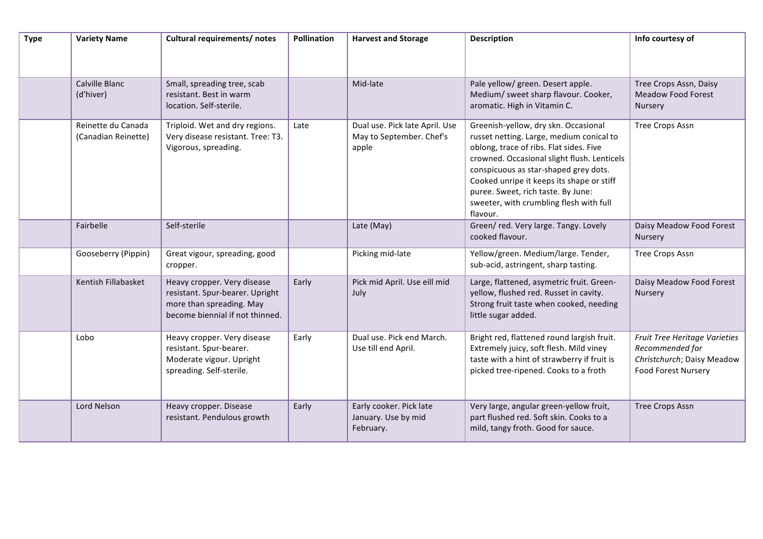| <b>Type</b> | <b>Variety Name</b>                       | Cultural requirements/ notes                                                                                                  | Pollination | <b>Harvest and Storage</b>                                          | <b>Description</b>                                                                                                                                                                                                                                                                                                                                            | Info courtesy of                                                                                             |
|-------------|-------------------------------------------|-------------------------------------------------------------------------------------------------------------------------------|-------------|---------------------------------------------------------------------|---------------------------------------------------------------------------------------------------------------------------------------------------------------------------------------------------------------------------------------------------------------------------------------------------------------------------------------------------------------|--------------------------------------------------------------------------------------------------------------|
|             | Calville Blanc<br>(d'hiver)               | Small, spreading tree, scab<br>resistant. Best in warm<br>location. Self-sterile.                                             |             | Mid-late                                                            | Pale yellow/ green. Desert apple.<br>Medium/ sweet sharp flavour. Cooker,<br>aromatic. High in Vitamin C.                                                                                                                                                                                                                                                     | Tree Crops Assn, Daisy<br><b>Meadow Food Forest</b><br>Nursery                                               |
|             | Reinette du Canada<br>(Canadian Reinette) | Triploid. Wet and dry regions.<br>Very disease resistant. Tree: T3.<br>Vigorous, spreading.                                   | Late        | Dual use. Pick late April. Use<br>May to September. Chef's<br>apple | Greenish-yellow, dry skn. Occasional<br>russet netting. Large, medium conical to<br>oblong, trace of ribs. Flat sides. Five<br>crowned. Occasional slight flush. Lenticels<br>conspicuous as star-shaped grey dots.<br>Cooked unripe it keeps its shape or stiff<br>puree. Sweet, rich taste. By June:<br>sweeter, with crumbling flesh with full<br>flavour. | Tree Crops Assn                                                                                              |
|             | Fairbelle                                 | Self-sterile                                                                                                                  |             | Late (May)                                                          | Green/red. Very large. Tangy. Lovely<br>cooked flavour.                                                                                                                                                                                                                                                                                                       | Daisy Meadow Food Forest<br>Nursery                                                                          |
|             | Gooseberry (Pippin)                       | Great vigour, spreading, good<br>cropper.                                                                                     |             | Picking mid-late                                                    | Yellow/green. Medium/large. Tender,<br>sub-acid, astringent, sharp tasting.                                                                                                                                                                                                                                                                                   | Tree Crops Assn                                                                                              |
|             | Kentish Fillabasket                       | Heavy cropper. Very disease<br>resistant. Spur-bearer. Upright<br>more than spreading. May<br>become biennial if not thinned. | Early       | Pick mid April. Use eill mid<br>July                                | Large, flattened, asymetric fruit. Green-<br>yellow, flushed red. Russet in cavity.<br>Strong fruit taste when cooked, needing<br>little sugar added.                                                                                                                                                                                                         | Daisy Meadow Food Forest<br>Nursery                                                                          |
|             | Lobo                                      | Heavy cropper. Very disease<br>resistant. Spur-bearer.<br>Moderate vigour. Upright<br>spreading. Self-sterile.                | Early       | Dual use. Pick end March.<br>Use till end April.                    | Bright red, flattened round largish fruit.<br>Extremely juicy, soft flesh. Mild viney<br>taste with a hint of strawberry if fruit is<br>picked tree-ripened. Cooks to a froth                                                                                                                                                                                 | Fruit Tree Heritage Varieties<br>Recommended for<br>Christchurch; Daisy Meadow<br><b>Food Forest Nursery</b> |
|             | Lord Nelson                               | Heavy cropper. Disease<br>resistant. Pendulous growth                                                                         | Early       | Early cooker. Pick late<br>January. Use by mid<br>February.         | Very large, angular green-yellow fruit,<br>part flushed red. Soft skin. Cooks to a<br>mild, tangy froth. Good for sauce.                                                                                                                                                                                                                                      | <b>Tree Crops Assn</b>                                                                                       |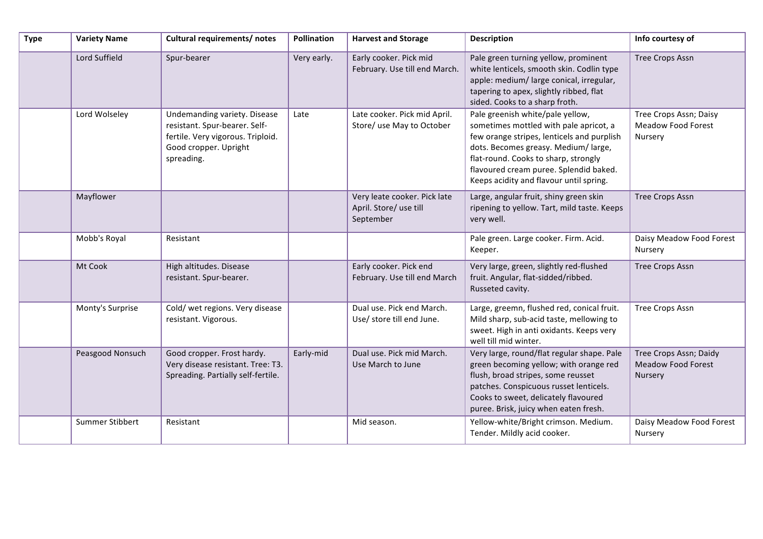| <b>Type</b> | <b>Variety Name</b> | Cultural requirements/ notes                                                                                                              | Pollination | <b>Harvest and Storage</b>                                          | <b>Description</b>                                                                                                                                                                                                                                                                           | Info courtesy of                                               |
|-------------|---------------------|-------------------------------------------------------------------------------------------------------------------------------------------|-------------|---------------------------------------------------------------------|----------------------------------------------------------------------------------------------------------------------------------------------------------------------------------------------------------------------------------------------------------------------------------------------|----------------------------------------------------------------|
|             | Lord Suffield       | Spur-bearer                                                                                                                               | Very early. | Early cooker. Pick mid<br>February. Use till end March.             | Pale green turning yellow, prominent<br>white lenticels, smooth skin. Codlin type<br>apple: medium/ large conical, irregular,<br>tapering to apex, slightly ribbed, flat<br>sided. Cooks to a sharp froth.                                                                                   | <b>Tree Crops Assn</b>                                         |
|             | Lord Wolseley       | Undemanding variety. Disease<br>resistant. Spur-bearer. Self-<br>fertile. Very vigorous. Triploid.<br>Good cropper. Upright<br>spreading. | Late        | Late cooker. Pick mid April.<br>Store/ use May to October           | Pale greenish white/pale yellow,<br>sometimes mottled with pale apricot, a<br>few orange stripes, lenticels and purplish<br>dots. Becomes greasy. Medium/large,<br>flat-round. Cooks to sharp, strongly<br>flavoured cream puree. Splendid baked.<br>Keeps acidity and flavour until spring. | Tree Crops Assn; Daisy<br><b>Meadow Food Forest</b><br>Nursery |
|             | Mayflower           |                                                                                                                                           |             | Very leate cooker. Pick late<br>April. Store/ use till<br>September | Large, angular fruit, shiny green skin<br>ripening to yellow. Tart, mild taste. Keeps<br>very well.                                                                                                                                                                                          | <b>Tree Crops Assn</b>                                         |
|             | Mobb's Royal        | Resistant                                                                                                                                 |             |                                                                     | Pale green. Large cooker. Firm. Acid.<br>Keeper.                                                                                                                                                                                                                                             | Daisy Meadow Food Forest<br>Nursery                            |
|             | Mt Cook             | High altitudes. Disease<br>resistant. Spur-bearer.                                                                                        |             | Early cooker. Pick end<br>February. Use till end March              | Very large, green, slightly red-flushed<br>fruit. Angular, flat-sidded/ribbed.<br>Russeted cavity.                                                                                                                                                                                           | <b>Tree Crops Assn</b>                                         |
|             | Monty's Surprise    | Cold/ wet regions. Very disease<br>resistant. Vigorous.                                                                                   |             | Dual use. Pick end March.<br>Use/ store till end June.              | Large, greemn, flushed red, conical fruit.<br>Mild sharp, sub-acid taste, mellowing to<br>sweet. High in anti oxidants. Keeps very<br>well till mid winter.                                                                                                                                  | <b>Tree Crops Assn</b>                                         |
|             | Peasgood Nonsuch    | Good cropper. Frost hardy.<br>Very disease resistant. Tree: T3.<br>Spreading. Partially self-fertile.                                     | Early-mid   | Dual use. Pick mid March.<br>Use March to June                      | Very large, round/flat regular shape. Pale<br>green becoming yellow; with orange red<br>flush, broad stripes, some reusset<br>patches. Conspicuous russet lenticels.<br>Cooks to sweet, delicately flavoured<br>puree. Brisk, juicy when eaten fresh.                                        | Tree Crops Assn; Daidy<br>Meadow Food Forest<br>Nursery        |
|             | Summer Stibbert     | Resistant                                                                                                                                 |             | Mid season.                                                         | Yellow-white/Bright crimson. Medium.<br>Tender. Mildly acid cooker.                                                                                                                                                                                                                          | Daisy Meadow Food Forest<br>Nursery                            |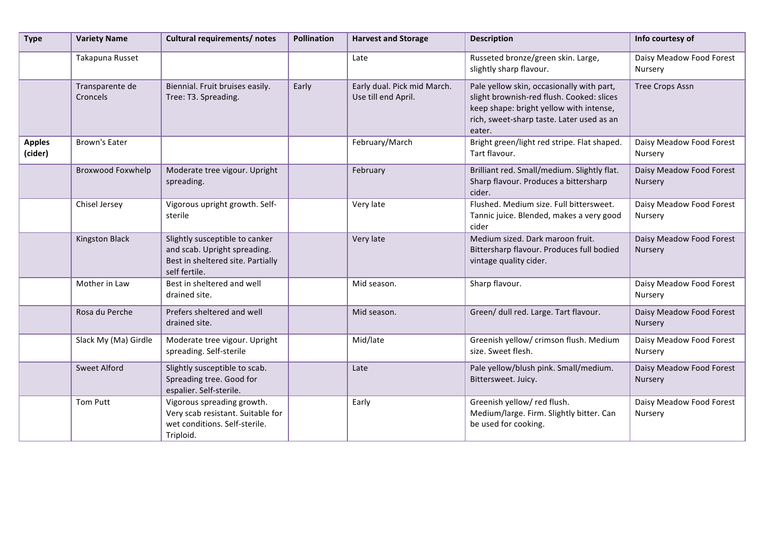| <b>Type</b>              | <b>Variety Name</b>         | Cultural requirements/ notes                                                                                         | <b>Pollination</b> | <b>Harvest and Storage</b>                         | <b>Description</b>                                                                                                                                                                       | Info courtesy of                    |
|--------------------------|-----------------------------|----------------------------------------------------------------------------------------------------------------------|--------------------|----------------------------------------------------|------------------------------------------------------------------------------------------------------------------------------------------------------------------------------------------|-------------------------------------|
|                          | Takapuna Russet             |                                                                                                                      |                    | Late                                               | Russeted bronze/green skin. Large,<br>slightly sharp flavour.                                                                                                                            | Daisy Meadow Food Forest<br>Nursery |
|                          | Transparente de<br>Croncels | Biennial. Fruit bruises easily.<br>Tree: T3. Spreading.                                                              | Early              | Early dual. Pick mid March.<br>Use till end April. | Pale yellow skin, occasionally with part,<br>slight brownish-red flush. Cooked: slices<br>keep shape: bright yellow with intense,<br>rich, sweet-sharp taste. Later used as an<br>eater. | <b>Tree Crops Assn</b>              |
| <b>Apples</b><br>(cider) | <b>Brown's Eater</b>        |                                                                                                                      |                    | February/March                                     | Bright green/light red stripe. Flat shaped.<br>Tart flavour.                                                                                                                             | Daisy Meadow Food Forest<br>Nursery |
|                          | Broxwood Foxwhelp           | Moderate tree vigour. Upright<br>spreading.                                                                          |                    | February                                           | Brilliant red. Small/medium. Slightly flat.<br>Sharp flavour. Produces a bittersharp<br>cider.                                                                                           | Daisy Meadow Food Forest<br>Nursery |
|                          | Chisel Jersey               | Vigorous upright growth. Self-<br>sterile                                                                            |                    | Very late                                          | Flushed. Medium size. Full bittersweet.<br>Tannic juice. Blended, makes a very good<br>cider                                                                                             | Daisy Meadow Food Forest<br>Nursery |
|                          | <b>Kingston Black</b>       | Slightly susceptible to canker<br>and scab. Upright spreading.<br>Best in sheltered site. Partially<br>self fertile. |                    | Very late                                          | Medium sized. Dark maroon fruit.<br>Bittersharp flavour. Produces full bodied<br>vintage quality cider.                                                                                  | Daisy Meadow Food Forest<br>Nursery |
|                          | Mother in Law               | Best in sheltered and well<br>drained site.                                                                          |                    | Mid season.                                        | Sharp flavour.                                                                                                                                                                           | Daisy Meadow Food Forest<br>Nursery |
|                          | Rosa du Perche              | Prefers sheltered and well<br>drained site.                                                                          |                    | Mid season.                                        | Green/ dull red. Large. Tart flavour.                                                                                                                                                    | Daisy Meadow Food Forest<br>Nursery |
|                          | Slack My (Ma) Girdle        | Moderate tree vigour. Upright<br>spreading. Self-sterile                                                             |                    | Mid/late                                           | Greenish yellow/ crimson flush. Medium<br>size. Sweet flesh.                                                                                                                             | Daisy Meadow Food Forest<br>Nursery |
|                          | <b>Sweet Alford</b>         | Slightly susceptible to scab.<br>Spreading tree. Good for<br>espalier. Self-sterile.                                 |                    | Late                                               | Pale yellow/blush pink. Small/medium.<br>Bittersweet. Juicy.                                                                                                                             | Daisy Meadow Food Forest<br>Nursery |
|                          | <b>Tom Putt</b>             | Vigorous spreading growth.<br>Very scab resistant. Suitable for<br>wet conditions. Self-sterile.<br>Triploid.        |                    | Early                                              | Greenish yellow/red flush.<br>Medium/large. Firm. Slightly bitter. Can<br>be used for cooking.                                                                                           | Daisy Meadow Food Forest<br>Nursery |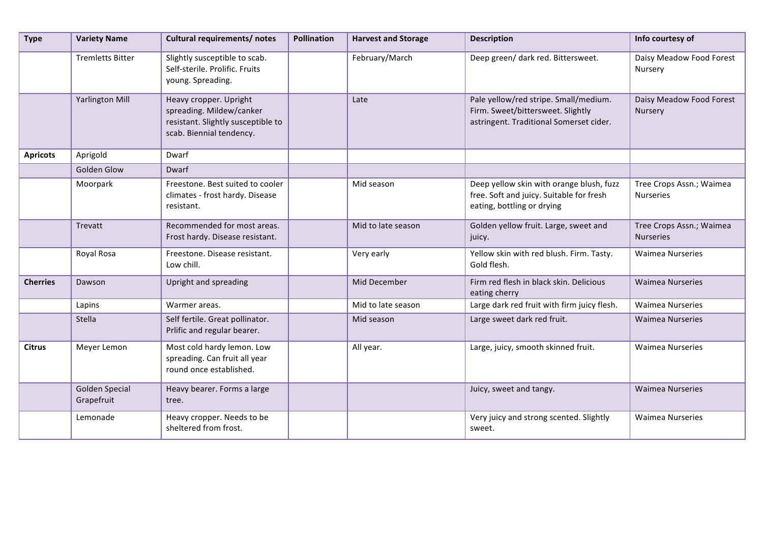| <b>Type</b>     | <b>Variety Name</b>                 | Cultural requirements/ notes                                                                                         | <b>Pollination</b> | <b>Harvest and Storage</b> | <b>Description</b>                                                                                                    | Info courtesy of                             |
|-----------------|-------------------------------------|----------------------------------------------------------------------------------------------------------------------|--------------------|----------------------------|-----------------------------------------------------------------------------------------------------------------------|----------------------------------------------|
|                 | <b>Tremletts Bitter</b>             | Slightly susceptible to scab.<br>Self-sterile. Prolific. Fruits<br>young. Spreading.                                 |                    | February/March             | Deep green/ dark red. Bittersweet.                                                                                    | Daisy Meadow Food Forest<br>Nursery          |
|                 | <b>Yarlington Mill</b>              | Heavy cropper. Upright<br>spreading. Mildew/canker<br>resistant. Slightly susceptible to<br>scab. Biennial tendency. |                    | Late                       | Pale yellow/red stripe. Small/medium.<br>Firm. Sweet/bittersweet. Slightly<br>astringent. Traditional Somerset cider. | Daisy Meadow Food Forest<br>Nursery          |
| <b>Apricots</b> | Aprigold                            | Dwarf                                                                                                                |                    |                            |                                                                                                                       |                                              |
|                 | Golden Glow                         | Dwarf                                                                                                                |                    |                            |                                                                                                                       |                                              |
|                 | Moorpark                            | Freestone. Best suited to cooler<br>climates - frost hardy. Disease<br>resistant.                                    |                    | Mid season                 | Deep yellow skin with orange blush, fuzz<br>free. Soft and juicy. Suitable for fresh<br>eating, bottling or drying    | Tree Crops Assn.; Waimea<br><b>Nurseries</b> |
|                 | Trevatt                             | Recommended for most areas.<br>Frost hardy. Disease resistant.                                                       |                    | Mid to late season         | Golden yellow fruit. Large, sweet and<br>juicy.                                                                       | Tree Crops Assn.; Waimea<br><b>Nurseries</b> |
|                 | Royal Rosa                          | Freestone. Disease resistant.<br>Low chill.                                                                          |                    | Very early                 | Yellow skin with red blush. Firm. Tasty.<br>Gold flesh.                                                               | <b>Waimea Nurseries</b>                      |
| <b>Cherries</b> | Dawson                              | Upright and spreading                                                                                                |                    | Mid December               | Firm red flesh in black skin. Delicious<br>eating cherry                                                              | <b>Waimea Nurseries</b>                      |
|                 | Lapins                              | Warmer areas.                                                                                                        |                    | Mid to late season         | Large dark red fruit with firm juicy flesh.                                                                           | <b>Waimea Nurseries</b>                      |
|                 | Stella                              | Self fertile. Great pollinator.<br>Prlific and regular bearer.                                                       |                    | Mid season                 | Large sweet dark red fruit.                                                                                           | <b>Waimea Nurseries</b>                      |
| <b>Citrus</b>   | Meyer Lemon                         | Most cold hardy lemon. Low<br>spreading. Can fruit all year<br>round once established.                               |                    | All year.                  | Large, juicy, smooth skinned fruit.                                                                                   | <b>Waimea Nurseries</b>                      |
|                 | <b>Golden Special</b><br>Grapefruit | Heavy bearer. Forms a large<br>tree.                                                                                 |                    |                            | Juicy, sweet and tangy.                                                                                               | <b>Waimea Nurseries</b>                      |
|                 | Lemonade                            | Heavy cropper. Needs to be<br>sheltered from frost.                                                                  |                    |                            | Very juicy and strong scented. Slightly<br>sweet.                                                                     | <b>Waimea Nurseries</b>                      |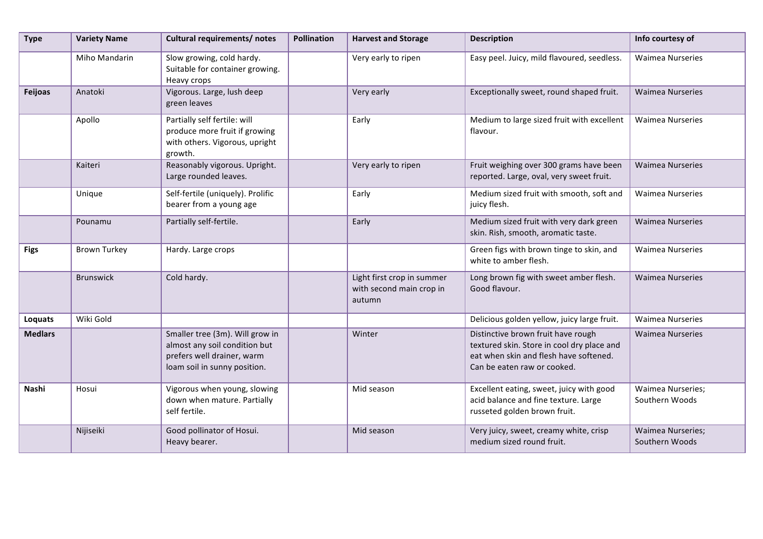| <b>Type</b>    | <b>Variety Name</b> | Cultural requirements/ notes                                                                                                   | <b>Pollination</b> | <b>Harvest and Storage</b>                                       | <b>Description</b>                                                                                                                                        | Info courtesy of                           |
|----------------|---------------------|--------------------------------------------------------------------------------------------------------------------------------|--------------------|------------------------------------------------------------------|-----------------------------------------------------------------------------------------------------------------------------------------------------------|--------------------------------------------|
|                | Miho Mandarin       | Slow growing, cold hardy.<br>Suitable for container growing.<br>Heavy crops                                                    |                    | Very early to ripen                                              | Easy peel. Juicy, mild flavoured, seedless.                                                                                                               | <b>Waimea Nurseries</b>                    |
| Feijoas        | Anatoki             | Vigorous. Large, lush deep<br>green leaves                                                                                     |                    | Very early                                                       | Exceptionally sweet, round shaped fruit.                                                                                                                  | <b>Waimea Nurseries</b>                    |
|                | Apollo              | Partially self fertile: will<br>produce more fruit if growing<br>with others. Vigorous, upright<br>growth.                     |                    | Early                                                            | Medium to large sized fruit with excellent<br>flavour.                                                                                                    | <b>Waimea Nurseries</b>                    |
|                | Kaiteri             | Reasonably vigorous. Upright.<br>Large rounded leaves.                                                                         |                    | Very early to ripen                                              | Fruit weighing over 300 grams have been<br>reported. Large, oval, very sweet fruit.                                                                       | <b>Waimea Nurseries</b>                    |
|                | Unique              | Self-fertile (uniquely). Prolific<br>bearer from a young age                                                                   |                    | Early                                                            | Medium sized fruit with smooth, soft and<br>juicy flesh.                                                                                                  | <b>Waimea Nurseries</b>                    |
|                | Pounamu             | Partially self-fertile.                                                                                                        |                    | Early                                                            | Medium sized fruit with very dark green<br>skin. Rish, smooth, aromatic taste.                                                                            | <b>Waimea Nurseries</b>                    |
| <b>Figs</b>    | <b>Brown Turkey</b> | Hardy. Large crops                                                                                                             |                    |                                                                  | Green figs with brown tinge to skin, and<br>white to amber flesh.                                                                                         | <b>Waimea Nurseries</b>                    |
|                | <b>Brunswick</b>    | Cold hardy.                                                                                                                    |                    | Light first crop in summer<br>with second main crop in<br>autumn | Long brown fig with sweet amber flesh.<br>Good flavour.                                                                                                   | <b>Waimea Nurseries</b>                    |
| Loquats        | Wiki Gold           |                                                                                                                                |                    |                                                                  | Delicious golden yellow, juicy large fruit.                                                                                                               | <b>Waimea Nurseries</b>                    |
| <b>Medlars</b> |                     | Smaller tree (3m). Will grow in<br>almost any soil condition but<br>prefers well drainer, warm<br>loam soil in sunny position. |                    | Winter                                                           | Distinctive brown fruit have rough<br>textured skin. Store in cool dry place and<br>eat when skin and flesh have softened.<br>Can be eaten raw or cooked. | <b>Waimea Nurseries</b>                    |
| Nashi          | Hosui               | Vigorous when young, slowing<br>down when mature. Partially<br>self fertile.                                                   |                    | Mid season                                                       | Excellent eating, sweet, juicy with good<br>acid balance and fine texture. Large<br>russeted golden brown fruit.                                          | <b>Waimea Nurseries;</b><br>Southern Woods |
|                | Nijiseiki           | Good pollinator of Hosui.<br>Heavy bearer.                                                                                     |                    | Mid season                                                       | Very juicy, sweet, creamy white, crisp<br>medium sized round fruit.                                                                                       | <b>Waimea Nurseries;</b><br>Southern Woods |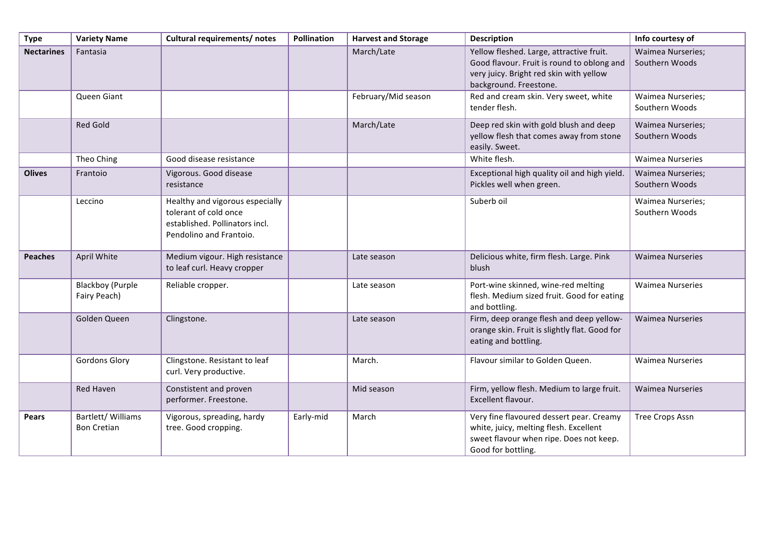| <b>Type</b>       | <b>Variety Name</b>                      | Cultural requirements/ notes                                                                                          | Pollination | <b>Harvest and Storage</b> | <b>Description</b>                                                                                                                                          | Info courtesy of                           |
|-------------------|------------------------------------------|-----------------------------------------------------------------------------------------------------------------------|-------------|----------------------------|-------------------------------------------------------------------------------------------------------------------------------------------------------------|--------------------------------------------|
| <b>Nectarines</b> | Fantasia                                 |                                                                                                                       |             | March/Late                 | Yellow fleshed. Large, attractive fruit.<br>Good flavour. Fruit is round to oblong and<br>very juicy. Bright red skin with yellow<br>background. Freestone. | <b>Waimea Nurseries;</b><br>Southern Woods |
|                   | Queen Giant                              |                                                                                                                       |             | February/Mid season        | Red and cream skin. Very sweet, white<br>tender flesh.                                                                                                      | <b>Waimea Nurseries;</b><br>Southern Woods |
|                   | <b>Red Gold</b>                          |                                                                                                                       |             | March/Late                 | Deep red skin with gold blush and deep<br>yellow flesh that comes away from stone<br>easily. Sweet.                                                         | <b>Waimea Nurseries;</b><br>Southern Woods |
|                   | Theo Ching                               | Good disease resistance                                                                                               |             |                            | White flesh.                                                                                                                                                | <b>Waimea Nurseries</b>                    |
| <b>Olives</b>     | Frantoio                                 | Vigorous. Good disease<br>resistance                                                                                  |             |                            | Exceptional high quality oil and high yield.<br>Pickles well when green.                                                                                    | <b>Waimea Nurseries;</b><br>Southern Woods |
|                   | Leccino                                  | Healthy and vigorous especially<br>tolerant of cold once<br>established. Pollinators incl.<br>Pendolino and Frantoio. |             |                            | Suberb oil                                                                                                                                                  | Waimea Nurseries;<br>Southern Woods        |
| <b>Peaches</b>    | April White                              | Medium vigour. High resistance<br>to leaf curl. Heavy cropper                                                         |             | Late season                | Delicious white, firm flesh. Large. Pink<br>blush                                                                                                           | <b>Waimea Nurseries</b>                    |
|                   | <b>Blackboy (Purple</b><br>Fairy Peach)  | Reliable cropper.                                                                                                     |             | Late season                | Port-wine skinned, wine-red melting<br>flesh. Medium sized fruit. Good for eating<br>and bottling.                                                          | <b>Waimea Nurseries</b>                    |
|                   | Golden Queen                             | Clingstone.                                                                                                           |             | Late season                | Firm, deep orange flesh and deep yellow-<br>orange skin. Fruit is slightly flat. Good for<br>eating and bottling.                                           | <b>Waimea Nurseries</b>                    |
|                   | <b>Gordons Glory</b>                     | Clingstone. Resistant to leaf<br>curl. Very productive.                                                               |             | March.                     | Flavour similar to Golden Queen.                                                                                                                            | <b>Waimea Nurseries</b>                    |
|                   | Red Haven                                | Constistent and proven<br>performer. Freestone.                                                                       |             | Mid season                 | Firm, yellow flesh. Medium to large fruit.<br>Excellent flavour.                                                                                            | <b>Waimea Nurseries</b>                    |
| Pears             | Bartlett/ Williams<br><b>Bon Cretian</b> | Vigorous, spreading, hardy<br>tree. Good cropping.                                                                    | Early-mid   | March                      | Very fine flavoured dessert pear. Creamy<br>white, juicy, melting flesh. Excellent<br>sweet flavour when ripe. Does not keep.<br>Good for bottling.         | <b>Tree Crops Assn</b>                     |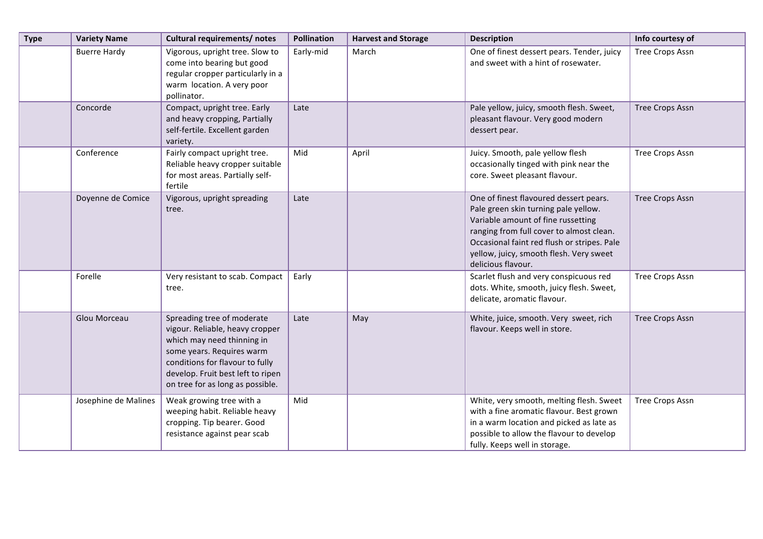| <b>Type</b> | <b>Variety Name</b>  | Cultural requirements/ notes                                                                                                                                                                                                         | <b>Pollination</b> | <b>Harvest and Storage</b> | <b>Description</b>                                                                                                                                                                                                                                                               | Info courtesy of       |
|-------------|----------------------|--------------------------------------------------------------------------------------------------------------------------------------------------------------------------------------------------------------------------------------|--------------------|----------------------------|----------------------------------------------------------------------------------------------------------------------------------------------------------------------------------------------------------------------------------------------------------------------------------|------------------------|
|             | <b>Buerre Hardy</b>  | Vigorous, upright tree. Slow to<br>come into bearing but good<br>regular cropper particularly in a<br>warm location. A very poor<br>pollinator.                                                                                      | Early-mid          | March                      | One of finest dessert pears. Tender, juicy<br>and sweet with a hint of rosewater.                                                                                                                                                                                                | Tree Crops Assn        |
|             | Concorde             | Compact, upright tree. Early<br>and heavy cropping, Partially<br>self-fertile. Excellent garden<br>variety.                                                                                                                          | Late               |                            | Pale yellow, juicy, smooth flesh. Sweet,<br>pleasant flavour. Very good modern<br>dessert pear.                                                                                                                                                                                  | <b>Tree Crops Assn</b> |
|             | Conference           | Fairly compact upright tree.<br>Reliable heavy cropper suitable<br>for most areas. Partially self-<br>fertile                                                                                                                        | Mid                | April                      | Juicy. Smooth, pale yellow flesh<br>occasionally tinged with pink near the<br>core. Sweet pleasant flavour.                                                                                                                                                                      | Tree Crops Assn        |
|             | Doyenne de Comice    | Vigorous, upright spreading<br>tree.                                                                                                                                                                                                 | Late               |                            | One of finest flavoured dessert pears.<br>Pale green skin turning pale yellow.<br>Variable amount of fine russetting<br>ranging from full cover to almost clean.<br>Occasional faint red flush or stripes. Pale<br>yellow, juicy, smooth flesh. Very sweet<br>delicious flavour. | <b>Tree Crops Assn</b> |
|             | Forelle              | Very resistant to scab. Compact<br>tree.                                                                                                                                                                                             | Early              |                            | Scarlet flush and very conspicuous red<br>dots. White, smooth, juicy flesh. Sweet,<br>delicate, aromatic flavour.                                                                                                                                                                | Tree Crops Assn        |
|             | Glou Morceau         | Spreading tree of moderate<br>vigour. Reliable, heavy cropper<br>which may need thinning in<br>some years. Requires warm<br>conditions for flavour to fully<br>develop. Fruit best left to ripen<br>on tree for as long as possible. | Late               | May                        | White, juice, smooth. Very sweet, rich<br>flavour. Keeps well in store.                                                                                                                                                                                                          | <b>Tree Crops Assn</b> |
|             | Josephine de Malines | Weak growing tree with a<br>weeping habit. Reliable heavy<br>cropping. Tip bearer. Good<br>resistance against pear scab                                                                                                              | Mid                |                            | White, very smooth, melting flesh. Sweet<br>with a fine aromatic flavour. Best grown<br>in a warm location and picked as late as<br>possible to allow the flavour to develop<br>fully. Keeps well in storage.                                                                    | Tree Crops Assn        |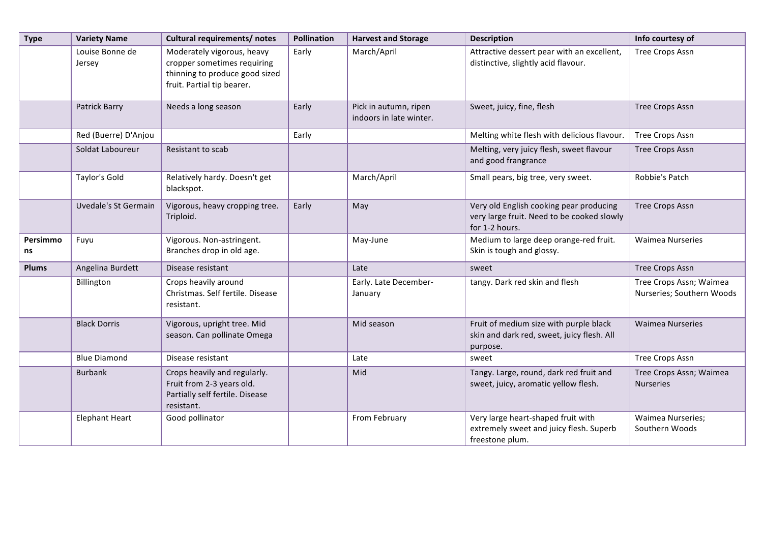| <b>Type</b>    | <b>Variety Name</b>         | <b>Cultural requirements/ notes</b>                                                                                       | <b>Pollination</b> | <b>Harvest and Storage</b>                       | <b>Description</b>                                                                                      | Info courtesy of                                     |
|----------------|-----------------------------|---------------------------------------------------------------------------------------------------------------------------|--------------------|--------------------------------------------------|---------------------------------------------------------------------------------------------------------|------------------------------------------------------|
|                | Louise Bonne de<br>Jersey   | Moderately vigorous, heavy<br>cropper sometimes requiring<br>thinning to produce good sized<br>fruit. Partial tip bearer. | Early              | March/April                                      | Attractive dessert pear with an excellent,<br>distinctive, slightly acid flavour.                       | <b>Tree Crops Assn</b>                               |
|                | Patrick Barry               | Needs a long season                                                                                                       | Early              | Pick in autumn, ripen<br>indoors in late winter. | Sweet, juicy, fine, flesh                                                                               | <b>Tree Crops Assn</b>                               |
|                | Red (Buerre) D'Anjou        |                                                                                                                           | Early              |                                                  | Melting white flesh with delicious flavour.                                                             | <b>Tree Crops Assn</b>                               |
|                | Soldat Laboureur            | Resistant to scab                                                                                                         |                    |                                                  | Melting, very juicy flesh, sweet flavour<br>and good frangrance                                         | <b>Tree Crops Assn</b>                               |
|                | Taylor's Gold               | Relatively hardy. Doesn't get<br>blackspot.                                                                               |                    | March/April                                      | Small pears, big tree, very sweet.                                                                      | Robbie's Patch                                       |
|                | <b>Uvedale's St Germain</b> | Vigorous, heavy cropping tree.<br>Triploid.                                                                               | Early              | May                                              | Very old English cooking pear producing<br>very large fruit. Need to be cooked slowly<br>for 1-2 hours. | <b>Tree Crops Assn</b>                               |
| Persimmo<br>ns | Fuyu                        | Vigorous. Non-astringent.<br>Branches drop in old age.                                                                    |                    | May-June                                         | Medium to large deep orange-red fruit.<br>Skin is tough and glossy.                                     | <b>Waimea Nurseries</b>                              |
| <b>Plums</b>   | Angelina Burdett            | Disease resistant                                                                                                         |                    | Late                                             | sweet                                                                                                   | <b>Tree Crops Assn</b>                               |
|                | Billington                  | Crops heavily around<br>Christmas. Self fertile. Disease<br>resistant.                                                    |                    | Early. Late December-<br>January                 | tangy. Dark red skin and flesh                                                                          | Tree Crops Assn; Waimea<br>Nurseries; Southern Woods |
|                | <b>Black Dorris</b>         | Vigorous, upright tree. Mid<br>season. Can pollinate Omega                                                                |                    | Mid season                                       | Fruit of medium size with purple black<br>skin and dark red, sweet, juicy flesh. All<br>purpose.        | <b>Waimea Nurseries</b>                              |
|                | <b>Blue Diamond</b>         | Disease resistant                                                                                                         |                    | Late                                             | sweet                                                                                                   | <b>Tree Crops Assn</b>                               |
|                | <b>Burbank</b>              | Crops heavily and regularly.<br>Fruit from 2-3 years old.<br>Partially self fertile. Disease<br>resistant.                |                    | Mid                                              | Tangy. Large, round, dark red fruit and<br>sweet, juicy, aromatic yellow flesh.                         | Tree Crops Assn; Waimea<br><b>Nurseries</b>          |
|                | <b>Elephant Heart</b>       | Good pollinator                                                                                                           |                    | From February                                    | Very large heart-shaped fruit with<br>extremely sweet and juicy flesh. Superb<br>freestone plum.        | <b>Waimea Nurseries;</b><br>Southern Woods           |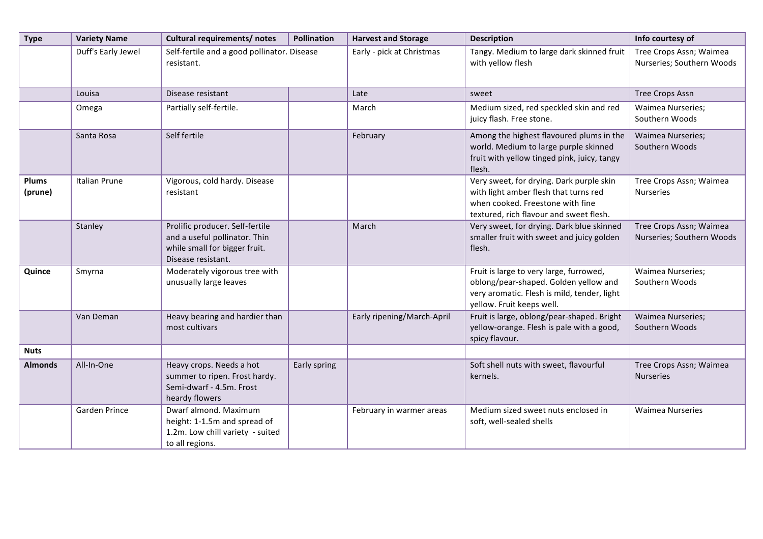| <b>Type</b>      | <b>Variety Name</b>  | <b>Cultural requirements/ notes</b>                                                                                     | <b>Pollination</b> | <b>Harvest and Storage</b> | <b>Description</b>                                                                                                                                               | Info courtesy of                                     |
|------------------|----------------------|-------------------------------------------------------------------------------------------------------------------------|--------------------|----------------------------|------------------------------------------------------------------------------------------------------------------------------------------------------------------|------------------------------------------------------|
|                  | Duff's Early Jewel   | Self-fertile and a good pollinator. Disease<br>resistant.                                                               |                    | Early - pick at Christmas  | Tangy. Medium to large dark skinned fruit<br>with yellow flesh                                                                                                   | Tree Crops Assn; Waimea<br>Nurseries; Southern Woods |
|                  | Louisa               | Disease resistant                                                                                                       |                    | Late                       | sweet                                                                                                                                                            | <b>Tree Crops Assn</b>                               |
|                  | Omega                | Partially self-fertile.                                                                                                 |                    | March                      | Medium sized, red speckled skin and red<br>juicy flash. Free stone.                                                                                              | Waimea Nurseries;<br>Southern Woods                  |
|                  | Santa Rosa           | Self fertile                                                                                                            |                    | February                   | Among the highest flavoured plums in the<br>world. Medium to large purple skinned<br>fruit with yellow tinged pink, juicy, tangy<br>flesh.                       | <b>Waimea Nurseries;</b><br>Southern Woods           |
| Plums<br>(prune) | Italian Prune        | Vigorous, cold hardy. Disease<br>resistant                                                                              |                    |                            | Very sweet, for drying. Dark purple skin<br>with light amber flesh that turns red<br>when cooked. Freestone with fine<br>textured, rich flavour and sweet flesh. | Tree Crops Assn; Waimea<br><b>Nurseries</b>          |
|                  | Stanley              | Prolific producer. Self-fertile<br>and a useful pollinator. Thin<br>while small for bigger fruit.<br>Disease resistant. |                    | March                      | Very sweet, for drying. Dark blue skinned<br>smaller fruit with sweet and juicy golden<br>flesh.                                                                 | Tree Crops Assn; Waimea<br>Nurseries; Southern Woods |
| Quince           | Smyrna               | Moderately vigorous tree with<br>unusually large leaves                                                                 |                    |                            | Fruit is large to very large, furrowed,<br>oblong/pear-shaped. Golden yellow and<br>very aromatic. Flesh is mild, tender, light<br>yellow. Fruit keeps well.     | <b>Waimea Nurseries;</b><br>Southern Woods           |
|                  | Van Deman            | Heavy bearing and hardier than<br>most cultivars                                                                        |                    | Early ripening/March-April | Fruit is large, oblong/pear-shaped. Bright<br>yellow-orange. Flesh is pale with a good,<br>spicy flavour.                                                        | <b>Waimea Nurseries;</b><br>Southern Woods           |
| <b>Nuts</b>      |                      |                                                                                                                         |                    |                            |                                                                                                                                                                  |                                                      |
| <b>Almonds</b>   | All-In-One           | Heavy crops. Needs a hot<br>summer to ripen. Frost hardy.<br>Semi-dwarf - 4.5m. Frost<br>heardy flowers                 | Early spring       |                            | Soft shell nuts with sweet, flavourful<br>kernels.                                                                                                               | Tree Crops Assn; Waimea<br><b>Nurseries</b>          |
|                  | <b>Garden Prince</b> | Dwarf almond. Maximum<br>height: 1-1.5m and spread of<br>1.2m. Low chill variety - suited<br>to all regions.            |                    | February in warmer areas   | Medium sized sweet nuts enclosed in<br>soft, well-sealed shells                                                                                                  | <b>Waimea Nurseries</b>                              |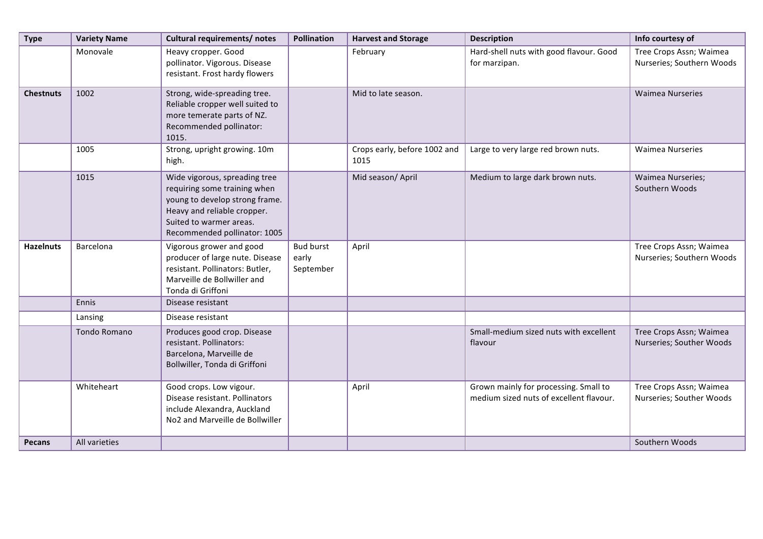| <b>Type</b>      | <b>Variety Name</b> | Cultural requirements/ notes                                                                                                                                                              | <b>Pollination</b>                     | <b>Harvest and Storage</b>           | <b>Description</b>                                                               | Info courtesy of                                     |
|------------------|---------------------|-------------------------------------------------------------------------------------------------------------------------------------------------------------------------------------------|----------------------------------------|--------------------------------------|----------------------------------------------------------------------------------|------------------------------------------------------|
|                  | Monovale            | Heavy cropper. Good<br>pollinator. Vigorous. Disease<br>resistant. Frost hardy flowers                                                                                                    |                                        | February                             | Hard-shell nuts with good flavour. Good<br>for marzipan.                         | Tree Crops Assn; Waimea<br>Nurseries; Southern Woods |
| <b>Chestnuts</b> | 1002                | Strong, wide-spreading tree.<br>Reliable cropper well suited to<br>more temerate parts of NZ.<br>Recommended pollinator:<br>1015.                                                         |                                        | Mid to late season.                  |                                                                                  | <b>Waimea Nurseries</b>                              |
|                  | 1005                | Strong, upright growing. 10m<br>high.                                                                                                                                                     |                                        | Crops early, before 1002 and<br>1015 | Large to very large red brown nuts.                                              | <b>Waimea Nurseries</b>                              |
|                  | 1015                | Wide vigorous, spreading tree<br>requiring some training when<br>young to develop strong frame.<br>Heavy and reliable cropper.<br>Suited to warmer areas.<br>Recommended pollinator: 1005 |                                        | Mid season/ April                    | Medium to large dark brown nuts.                                                 | <b>Waimea Nurseries;</b><br>Southern Woods           |
| <b>Hazelnuts</b> | Barcelona           | Vigorous grower and good<br>producer of large nute. Disease<br>resistant. Pollinators: Butler,<br>Marveille de Bollwiller and<br>Tonda di Griffoni                                        | <b>Bud burst</b><br>early<br>September | April                                |                                                                                  | Tree Crops Assn; Waimea<br>Nurseries; Southern Woods |
|                  | Ennis               | Disease resistant                                                                                                                                                                         |                                        |                                      |                                                                                  |                                                      |
|                  | Lansing             | Disease resistant                                                                                                                                                                         |                                        |                                      |                                                                                  |                                                      |
|                  | Tondo Romano        | Produces good crop. Disease<br>resistant. Pollinators:<br>Barcelona, Marveille de<br>Bollwiller, Tonda di Griffoni                                                                        |                                        |                                      | Small-medium sized nuts with excellent<br>flavour                                | Tree Crops Assn; Waimea<br>Nurseries; Souther Woods  |
|                  | Whiteheart          | Good crops. Low vigour.<br>Disease resistant. Pollinators<br>include Alexandra, Auckland<br>No2 and Marveille de Bollwiller                                                               |                                        | April                                | Grown mainly for processing. Small to<br>medium sized nuts of excellent flavour. | Tree Crops Assn; Waimea<br>Nurseries; Souther Woods  |
| <b>Pecans</b>    | All varieties       |                                                                                                                                                                                           |                                        |                                      |                                                                                  | Southern Woods                                       |